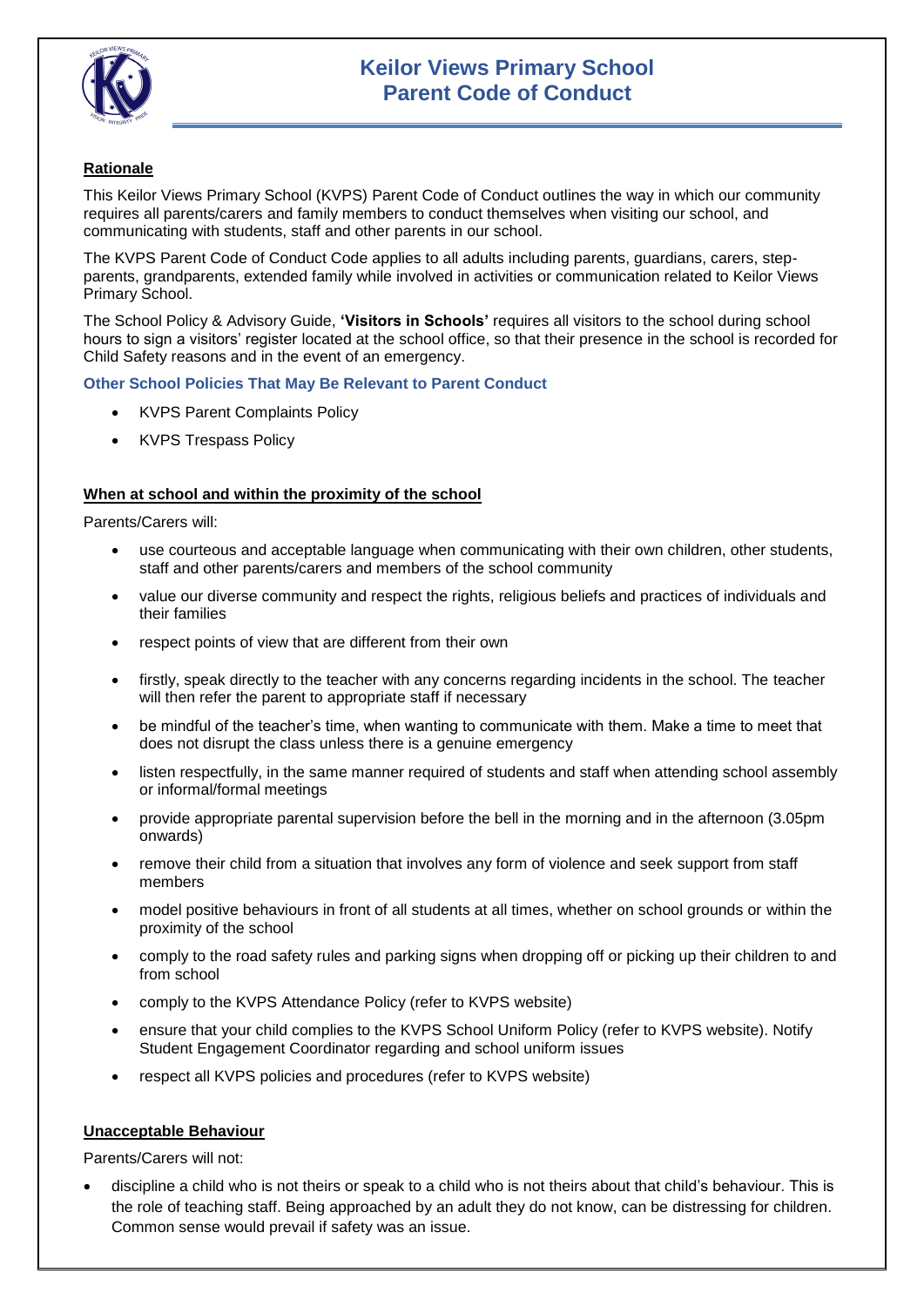

# **Rationale**

This Keilor Views Primary School (KVPS) Parent Code of Conduct outlines the way in which our community requires all parents/carers and family members to conduct themselves when visiting our school, and communicating with students, staff and other parents in our school.

The KVPS Parent Code of Conduct Code applies to all adults including parents, guardians, carers, stepparents, grandparents, extended family while involved in activities or communication related to Keilor Views Primary School.

The School Policy & Advisory Guide, **'Visitors in Schools'** requires all visitors to the school during school hours to sign a visitors' register located at the school office, so that their presence in the school is recorded for Child Safety reasons and in the event of an emergency.

## **Other School Policies That May Be Relevant to Parent Conduct**

- KVPS Parent Complaints Policy
- KVPS Trespass Policy

## **When at school and within the proximity of the school**

Parents/Carers will:

- use courteous and acceptable language when communicating with their own children, other students, staff and other parents/carers and members of the school community
- value our diverse community and respect the rights, religious beliefs and practices of individuals and their families
- respect points of view that are different from their own
- firstly, speak directly to the teacher with any concerns regarding incidents in the school. The teacher will then refer the parent to appropriate staff if necessary
- be mindful of the teacher's time, when wanting to communicate with them. Make a time to meet that does not disrupt the class unless there is a genuine emergency
- listen respectfully, in the same manner required of students and staff when attending school assembly or informal/formal meetings
- provide appropriate parental supervision before the bell in the morning and in the afternoon (3.05pm onwards)
- remove their child from a situation that involves any form of violence and seek support from staff members
- model positive behaviours in front of all students at all times, whether on school grounds or within the proximity of the school
- comply to the road safety rules and parking signs when dropping off or picking up their children to and from school
- comply to the KVPS Attendance Policy (refer to KVPS website)
- ensure that your child complies to the KVPS School Uniform Policy (refer to KVPS website). Notify Student Engagement Coordinator regarding and school uniform issues
- respect all KVPS policies and procedures (refer to KVPS website)

### **Unacceptable Behaviour**

Parents/Carers will not:

 discipline a child who is not theirs or speak to a child who is not theirs about that child's behaviour. This is the role of teaching staff. Being approached by an adult they do not know, can be distressing for children. Common sense would prevail if safety was an issue.